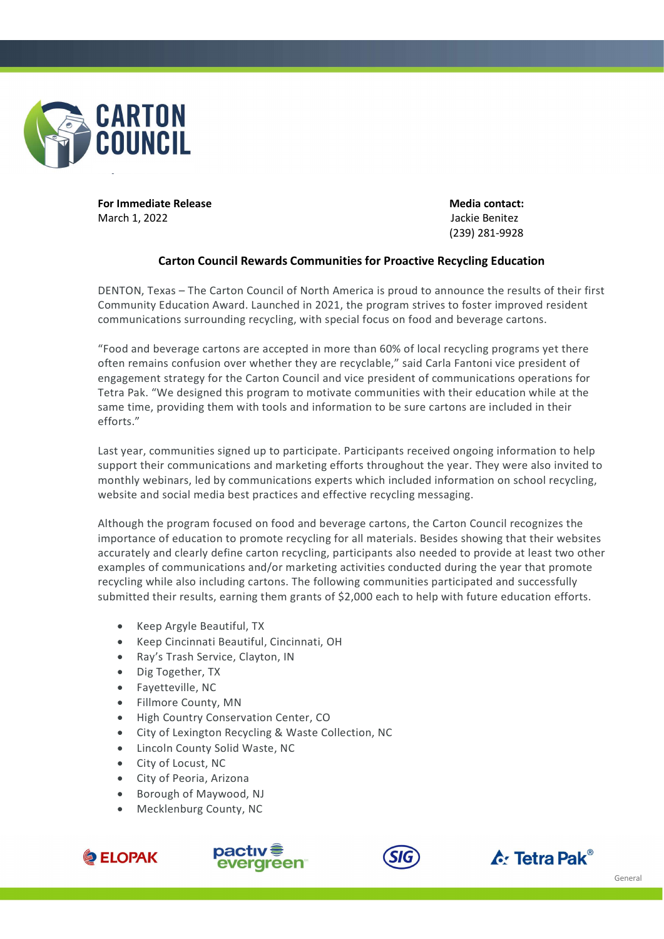

For Immediate Release **Media contact: Media contact:** March 1, 2022 Jackie Benitez

(239) 281-9928

## Carton Council Rewards Communities for Proactive Recycling Education

DENTON, Texas – The Carton Council of North America is proud to announce the results of their first Community Education Award. Launched in 2021, the program strives to foster improved resident communications surrounding recycling, with special focus on food and beverage cartons.

"Food and beverage cartons are accepted in more than 60% of local recycling programs yet there often remains confusion over whether they are recyclable," said Carla Fantoni vice president of engagement strategy for the Carton Council and vice president of communications operations for Tetra Pak. "We designed this program to motivate communities with their education while at the same time, providing them with tools and information to be sure cartons are included in their efforts."

Last year, communities signed up to participate. Participants received ongoing information to help support their communications and marketing efforts throughout the year. They were also invited to monthly webinars, led by communications experts which included information on school recycling, website and social media best practices and effective recycling messaging.

Although the program focused on food and beverage cartons, the Carton Council recognizes the importance of education to promote recycling for all materials. Besides showing that their websites accurately and clearly define carton recycling, participants also needed to provide at least two other examples of communications and/or marketing activities conducted during the year that promote recycling while also including cartons. The following communities participated and successfully submitted their results, earning them grants of \$2,000 each to help with future education efforts.

- Keep Argyle Beautiful, TX
- Keep Cincinnati Beautiful, Cincinnati, OH
- Ray's Trash Service, Clayton, IN
- Dig Together, TX
- Fayetteville, NC
- Fillmore County, MN
- High Country Conservation Center, CO
- City of Lexington Recycling & Waste Collection, NC
- Lincoln County Solid Waste, NC
- City of Locust, NC
- City of Peoria, Arizona
- Borough of Maywood, NJ
- Mecklenburg County, NC